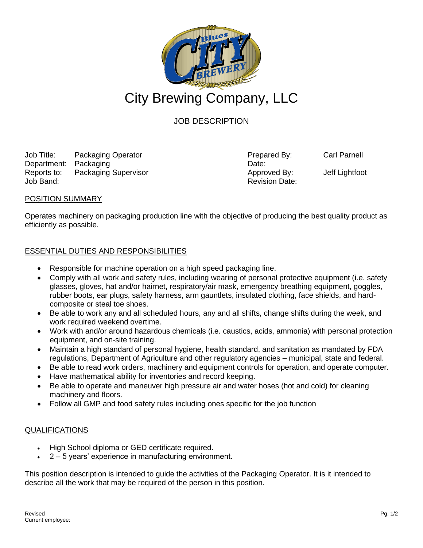

# JOB DESCRIPTION

Job Title: Packaging Operator Prepared By: Carl Parnell Department: Packaging Date: Reports to: Packaging Supervisor **Approved By:** Jeff Lightfoot Job Band: Revision Date:

### POSITION SUMMARY

Operates machinery on packaging production line with the objective of producing the best quality product as efficiently as possible.

### ESSENTIAL DUTIES AND RESPONSIBILITIES

- Responsible for machine operation on a high speed packaging line.
- Comply with all work and safety rules, including wearing of personal protective equipment (i.e. safety glasses, gloves, hat and/or hairnet, respiratory/air mask, emergency breathing equipment, goggles, rubber boots, ear plugs, safety harness, arm gauntlets, insulated clothing, face shields, and hardcomposite or steal toe shoes.
- Be able to work any and all scheduled hours, any and all shifts, change shifts during the week, and work required weekend overtime.
- Work with and/or around hazardous chemicals (i.e. caustics, acids, ammonia) with personal protection equipment, and on-site training.
- Maintain a high standard of personal hygiene, health standard, and sanitation as mandated by FDA regulations, Department of Agriculture and other regulatory agencies – municipal, state and federal.
- Be able to read work orders, machinery and equipment controls for operation, and operate computer.
- Have mathematical ability for inventories and record keeping.
- Be able to operate and maneuver high pressure air and water hoses (hot and cold) for cleaning machinery and floors.
- Follow all GMP and food safety rules including ones specific for the job function

### QUALIFICATIONS

- High School diploma or GED certificate required.
- 2 5 years' experience in manufacturing environment.

This position description is intended to guide the activities of the Packaging Operator. It is it intended to describe all the work that may be required of the person in this position.